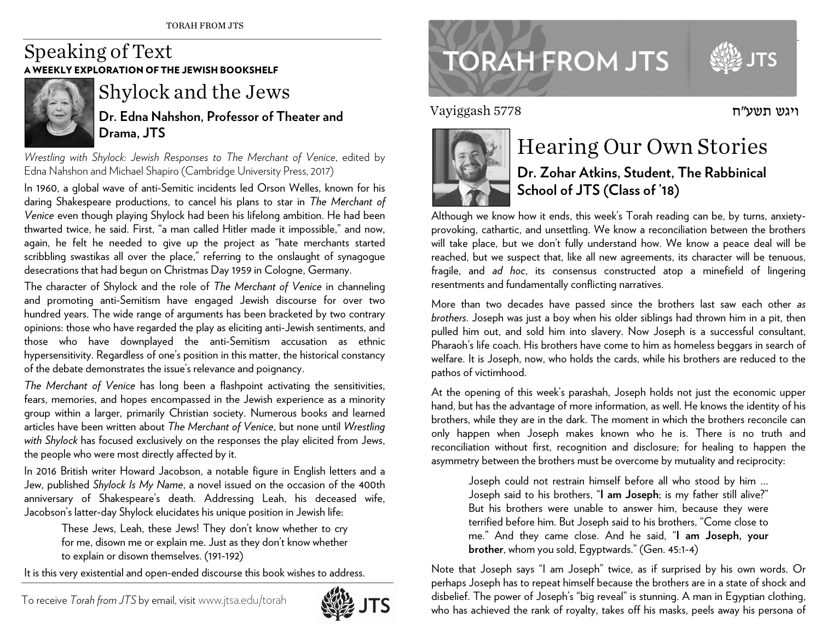## Speaking of Text A WEEKLY EXPLORATION OF THE JEWISH BOOKSHELF



## Shylock and the Jews

**Dr. Edna Nahshon, Professor of Theater and Drama, JTS** 

*Wrestling with Shylock: Jewish Responses to The Merchant of Venice*, edited by Edna Nahshon and Michael Shapiro (Cambridge University Press, 2017)

In 1960, a global wave of anti-Semitic incidents led Orson Welles, known for his daring Shakespeare productions, to cancel his plans to star in *The Merchant of Venice* even though playing Shylock had been his lifelong ambition. He had been thwarted twice, he said. First, "a man called Hitler made it impossible," and now, again, he felt he needed to give up the project as "hate merchants started scribbling swastikas all over the place," referring to the onslaught of synagogue desecrations that had begun on Christmas Day 1959 in Cologne, Germany.

The character of Shylock and the role of *The Merchant of Venice* in channeling and promoting anti-Semitism have engaged Jewish discourse for over two hundred years. The wide range of arguments has been bracketed by two contrary opinions: those who have regarded the play as eliciting anti-Jewish sentiments, and those who have downplayed the anti-Semitism accusation as ethnic hypersensitivity. Regardless of one's position in this matter, the historical constancy of the debate demonstrates the issue's relevance and poignancy.

*The Merchant of Venice* has long been a flashpoint activating the sensitivities, fears, memories, and hopes encompassed in the Jewish experience as a minority group within a larger, primarily Christian society. Numerous books and learned articles have been written about *The Merchant of Venice*, but none until *Wrestling with Shylock* has focused exclusively on the responses the play elicited from Jews, the people who were most directly affected by it.

In 2016 British writer Howard Jacobson, a notable figure in English letters and a Jew, published *Shylock Is My Name*, a novel issued on the occasion of the 400th anniversary of Shakespeare's death. Addressing Leah, his deceased wife, Jacobson's latter-day Shylock elucidates his unique position in Jewish life:

> These Jews, Leah, these Jews! They don't know whether to cry for me, disown me or explain me. Just as they don't know whether to explain or disown themselves. (191-192)

It is this very existential and open-ended discourse this book wishes to address.



## **TORAH FROM JTS**

Vayiggash 5778



## Hearing Our Own Stories **Dr. Zohar Atkins, Student, The Rabbinical School of JTS (Class of '18)**

Although we know how it ends, this week's Torah reading can be, by turns, anxietyprovoking, cathartic, and unsettling. We know a reconciliation between the brothers will take place, but we don't fully understand how. We know a peace deal will be reached, but we suspect that, like all new agreements, its character will be tenuous, fragile, and *ad hoc*, its consensus constructed atop a minefield of lingering resentments and fundamentally conflicting narratives.

More than two decades have passed since the brothers last saw each other *as brothers*. Joseph was just a boy when his older siblings had thrown him in a pit, then pulled him out, and sold him into slavery. Now Joseph is a successful consultant, Pharaoh's life coach. His brothers have come to him as homeless beggars in search of welfare. It is Joseph, now, who holds the cards, while his brothers are reduced to the pathos of victimhood.

At the opening of this week's parashah, Joseph holds not just the economic upper hand, but has the advantage of more information, as well. He knows the identity of his brothers, while they are in the dark. The moment in which the brothers reconcile can only happen when Joseph makes known who he is. There is no truth and reconciliation without first, recognition and disclosure; for healing to happen the asymmetry between the brothers must be overcome by mutuality and reciprocity:

Joseph could not restrain himself before all who stood by him … Joseph said to his brothers, "**I am Joseph**; is my father still alive?" But his brothers were unable to answer him, because they were terrified before him. But Joseph said to his brothers, "Come close to me." And they came close. And he said, "**I am Joseph, your brother**, whom you sold, Egyptwards." (Gen. 45:1-4)

Note that Joseph says "I am Joseph" twice, as if surprised by his own words. Or perhaps Joseph has to repeat himself because the brothers are in a state of shock and disbelief. The power of Joseph's "big reveal" is stunning. A man in Egyptian clothing, who has achieved the rank of royalty, takes off his masks, peels away his persona of

ויגש תשע"ח